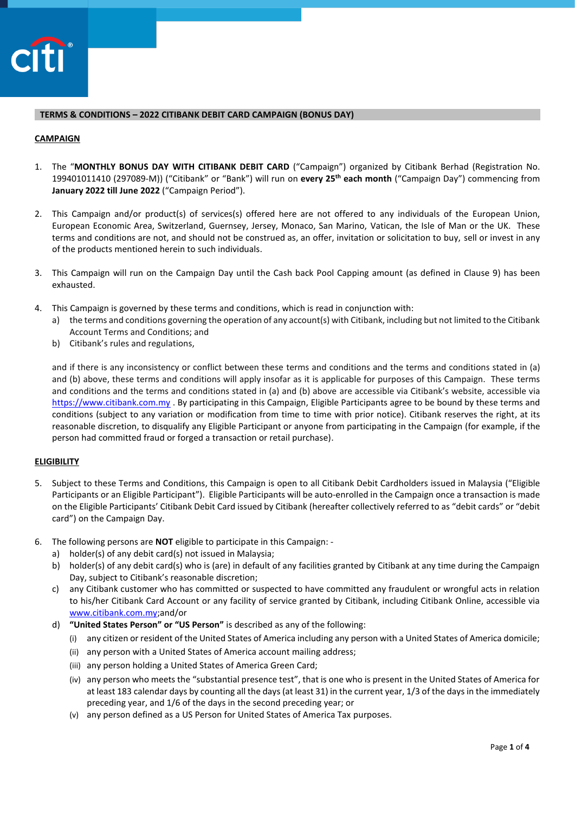

## **TERMS & CONDITIONS – 2022 CITIBANK DEBIT CARD CAMPAIGN (BONUS DAY)**

### **CAMPAIGN**

- 1. The "**MONTHLY BONUS DAY WITH CITIBANK DEBIT CARD** ("Campaign") organized by Citibank Berhad (Registration No. 199401011410 (297089-M)) ("Citibank" or "Bank") will run on **every 25th each month** ("Campaign Day") commencing from **January 2022 till June 2022** ("Campaign Period").
- 2. This Campaign and/or product(s) of services(s) offered here are not offered to any individuals of the European Union, European Economic Area, Switzerland, Guernsey, Jersey, Monaco, San Marino, Vatican, the Isle of Man or the UK. These terms and conditions are not, and should not be construed as, an offer, invitation or solicitation to buy, sell or invest in any of the products mentioned herein to such individuals.
- 3. This Campaign will run on the Campaign Day until the Cash back Pool Capping amount (as defined in Clause 9) has been exhausted.
- 4. This Campaign is governed by these terms and conditions, which is read in conjunction with:
	- a) the terms and conditions governing the operation of any account(s) with Citibank, including but not limited to the Citibank Account Terms and Conditions; and
	- b) Citibank's rules and regulations,

and if there is any inconsistency or conflict between these terms and conditions and the terms and conditions stated in (a) and (b) above, these terms and conditions will apply insofar as it is applicable for purposes of this Campaign. These terms and conditions and the terms and conditions stated in (a) and (b) above are accessible via Citibank's website, accessible via [https://www.citibank.com.my](https://www.citibank.com.my/) . By participating in this Campaign, Eligible Participants agree to be bound by these terms and conditions (subject to any variation or modification from time to time with prior notice). Citibank reserves the right, at its reasonable discretion, to disqualify any Eligible Participant or anyone from participating in the Campaign (for example, if the person had committed fraud or forged a transaction or retail purchase).

# **ELIGIBILITY**

- 5. Subject to these Terms and Conditions, this Campaign is open to all Citibank Debit Cardholders issued in Malaysia ("Eligible Participants or an Eligible Participant"). Eligible Participants will be auto-enrolled in the Campaign once a transaction is made on the Eligible Participants' Citibank Debit Card issued by Citibank (hereafter collectively referred to as "debit cards" or "debit card") on the Campaign Day.
- 6. The following persons are **NOT** eligible to participate in this Campaign:
	- a) holder(s) of any debit card(s) not issued in Malaysia;
	- b) holder(s) of any debit card(s) who is (are) in default of any facilities granted by Citibank at any time during the Campaign Day, subject to Citibank's reasonable discretion;
	- c) any Citibank customer who has committed or suspected to have committed any fraudulent or wrongful acts in relation to his/her Citibank Card Account or any facility of service granted by Citibank, including Citibank Online, accessible via [www.citibank.com.my;](http://www.citibank.com.my/)and/or
	- d) **"United States Person" or "US Person"** is described as any of the following:
		- (i) any citizen or resident of the United States of America including any person with a United States of America domicile;
		- (ii) any person with a United States of America account mailing address;
		- (iii) any person holding a United States of America Green Card;
		- (iv) any person who meets the "substantial presence test", that is one who is present in the United States of America for at least 183 calendar days by counting all the days (at least 31) in the current year, 1/3 of the days in the immediately preceding year, and 1/6 of the days in the second preceding year; or
		- (v) any person defined as a US Person for United States of America Tax purposes.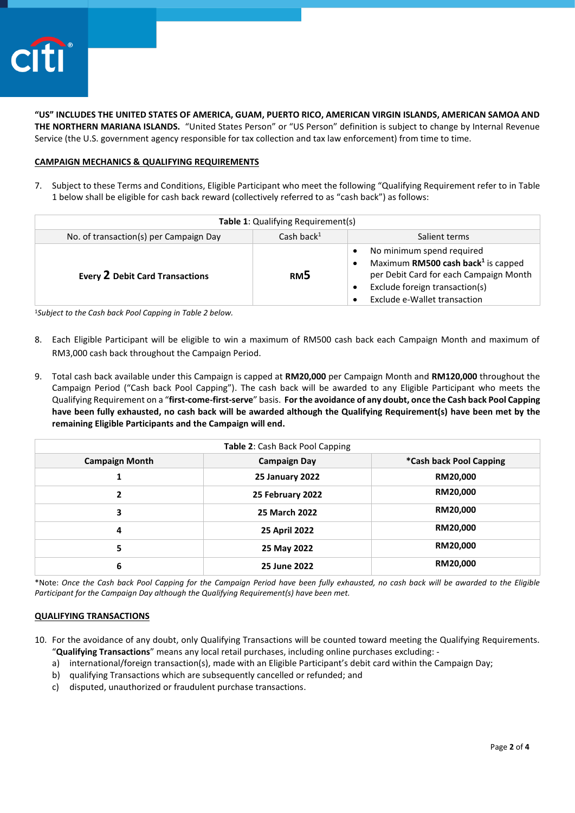

**"US" INCLUDES THE UNITED STATES OF AMERICA, GUAM, PUERTO RICO, AMERICAN VIRGIN ISLANDS, AMERICAN SAMOA AND THE NORTHERN MARIANA ISLANDS.** "United States Person" or "US Person" definition is subject to change by Internal Revenue Service (the U.S. government agency responsible for tax collection and tax law enforcement) from time to time.

### **CAMPAIGN MECHANICS & QUALIFYING REQUIREMENTS**

7. Subject to these Terms and Conditions, Eligible Participant who meet the following "Qualifying Requirement refer to in Table 1 below shall be eligible for cash back reward (collectively referred to as "cash back") as follows:

| Table 1: Qualifying Requirement(s)     |                 |                                                                                                                                                                                                                   |  |
|----------------------------------------|-----------------|-------------------------------------------------------------------------------------------------------------------------------------------------------------------------------------------------------------------|--|
| No. of transaction(s) per Campaign Day | Cash back $1$   | Salient terms                                                                                                                                                                                                     |  |
| <b>Every 2 Debit Card Transactions</b> | RM <sub>5</sub> | No minimum spend required<br>$\bullet$<br>Maximum RM500 cash back <sup>1</sup> is capped<br>$\bullet$<br>per Debit Card for each Campaign Month<br>Exclude foreign transaction(s)<br>Exclude e-Wallet transaction |  |

<sup>1</sup>*Subject to the Cash back Pool Capping in Table 2 below.* 

- 8. Each Eligible Participant will be eligible to win a maximum of RM500 cash back each Campaign Month and maximum of RM3,000 cash back throughout the Campaign Period.
- 9. Total cash back available under this Campaign is capped at **RM20,000** per Campaign Month and **RM120,000** throughout the Campaign Period ("Cash back Pool Capping"). The cash back will be awarded to any Eligible Participant who meets the Qualifying Requirement on a "**first-come-first-serve**" basis. **For the avoidance of any doubt, once the Cash back Pool Capping have been fully exhausted, no cash back will be awarded although the Qualifying Requirement(s) have been met by the remaining Eligible Participants and the Campaign will end.**

| Table 2: Cash Back Pool Capping |                        |                         |
|---------------------------------|------------------------|-------------------------|
| <b>Campaign Month</b>           | <b>Campaign Day</b>    | *Cash back Pool Capping |
| 1                               | <b>25 January 2022</b> | RM20,000                |
| $\mathbf{2}$                    | 25 February 2022       | RM20,000                |
| 3                               | 25 March 2022          | RM20,000                |
| 4                               | 25 April 2022          | RM20,000                |
| 5                               | 25 May 2022            | RM20,000                |
| 6                               | 25 June 2022           | RM20,000                |

\*Note: *Once the Cash back Pool Capping for the Campaign Period have been fully exhausted, no cash back will be awarded to the Eligible Participant for the Campaign Day although the Qualifying Requirement(s) have been met.* 

# **QUALIFYING TRANSACTIONS**

- 10. For the avoidance of any doubt, only Qualifying Transactions will be counted toward meeting the Qualifying Requirements. "**Qualifying Transactions**" means any local retail purchases, including online purchases excluding:
	- a) international/foreign transaction(s), made with an Eligible Participant's debit card within the Campaign Day;
	- b) qualifying Transactions which are subsequently cancelled or refunded; and
	- c) disputed, unauthorized or fraudulent purchase transactions.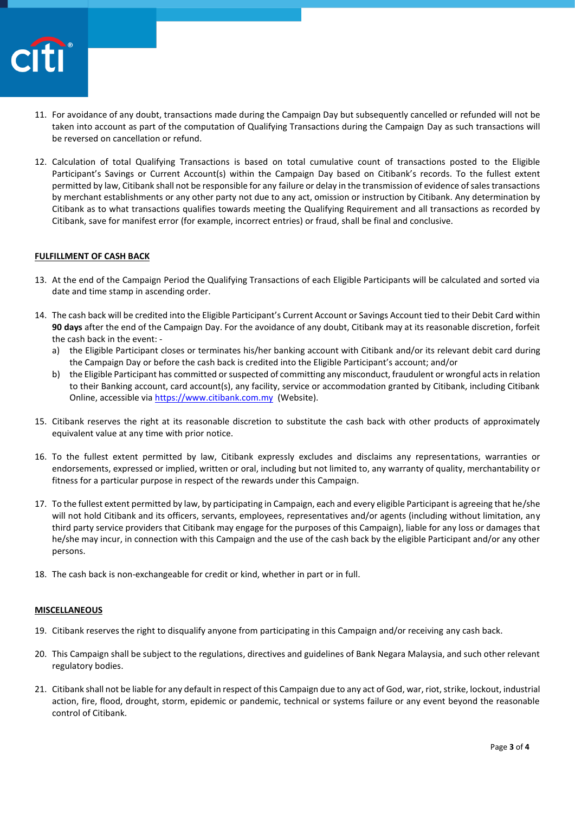

- 11. For avoidance of any doubt, transactions made during the Campaign Day but subsequently cancelled or refunded will not be taken into account as part of the computation of Qualifying Transactions during the Campaign Day as such transactions will be reversed on cancellation or refund.
- 12. Calculation of total Qualifying Transactions is based on total cumulative count of transactions posted to the Eligible Participant's Savings or Current Account(s) within the Campaign Day based on Citibank's records. To the fullest extent permitted by law, Citibank shall not be responsible for any failure or delay in the transmission of evidence of sales transactions by merchant establishments or any other party not due to any act, omission or instruction by Citibank. Any determination by Citibank as to what transactions qualifies towards meeting the Qualifying Requirement and all transactions as recorded by Citibank, save for manifest error (for example, incorrect entries) or fraud, shall be final and conclusive.

### **FULFILLMENT OF CASH BACK**

- 13. At the end of the Campaign Period the Qualifying Transactions of each Eligible Participants will be calculated and sorted via date and time stamp in ascending order.
- 14. The cash back will be credited into the Eligible Participant's Current Account or Savings Account tied to their Debit Card within **90 days** after the end of the Campaign Day. For the avoidance of any doubt, Citibank may at its reasonable discretion, forfeit the cash back in the event:
	- a) the Eligible Participant closes or terminates his/her banking account with Citibank and/or its relevant debit card during the Campaign Day or before the cash back is credited into the Eligible Participant's account; and/or
	- b) the Eligible Participant has committed or suspected of committing any misconduct, fraudulent or wrongful acts in relation to their Banking account, card account(s), any facility, service or accommodation granted by Citibank, including Citibank Online, accessible vi[a https://www.citibank.com.my](https://www.citibank.com.my/) (Website).
- 15. Citibank reserves the right at its reasonable discretion to substitute the cash back with other products of approximately equivalent value at any time with prior notice.
- 16. To the fullest extent permitted by law, Citibank expressly excludes and disclaims any representations, warranties or endorsements, expressed or implied, written or oral, including but not limited to, any warranty of quality, merchantability or fitness for a particular purpose in respect of the rewards under this Campaign.
- 17. To the fullest extent permitted by law, by participating in Campaign, each and every eligible Participant is agreeing that he/she will not hold Citibank and its officers, servants, employees, representatives and/or agents (including without limitation, any third party service providers that Citibank may engage for the purposes of this Campaign), liable for any loss or damages that he/she may incur, in connection with this Campaign and the use of the cash back by the eligible Participant and/or any other persons.
- 18. The cash back is non-exchangeable for credit or kind, whether in part or in full.

#### **MISCELLANEOUS**

- 19. Citibank reserves the right to disqualify anyone from participating in this Campaign and/or receiving any cash back.
- 20. This Campaign shall be subject to the regulations, directives and guidelines of Bank Negara Malaysia, and such other relevant regulatory bodies.
- 21. Citibank shall not be liable for any default in respect of this Campaign due to any act of God, war, riot, strike, lockout, industrial action, fire, flood, drought, storm, epidemic or pandemic, technical or systems failure or any event beyond the reasonable control of Citibank.